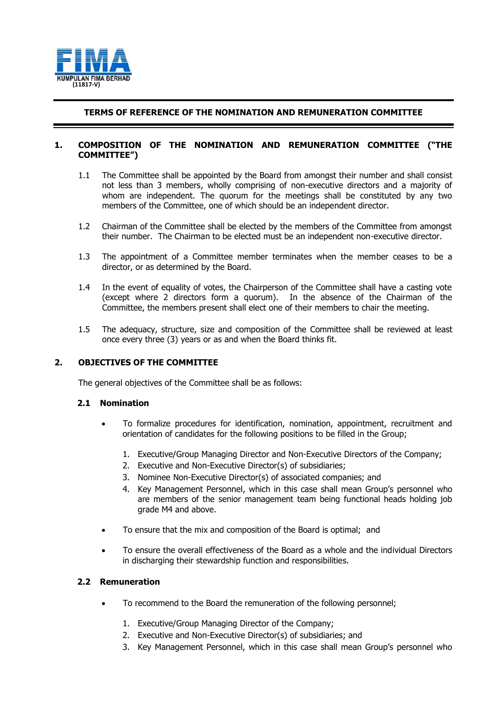

# **TERMS OF REFERENCE OF THE NOMINATION AND REMUNERATION COMMITTEE**

## **1. COMPOSITION OF THE NOMINATION AND REMUNERATION COMMITTEE ("THE COMMITTEE")**

- 1.1 The Committee shall be appointed by the Board from amongst their number and shall consist not less than 3 members, wholly comprising of non-executive directors and a majority of whom are independent. The quorum for the meetings shall be constituted by any two members of the Committee, one of which should be an independent director.
- 1.2 Chairman of the Committee shall be elected by the members of the Committee from amongst their number. The Chairman to be elected must be an independent non-executive director.
- 1.3 The appointment of a Committee member terminates when the member ceases to be a director, or as determined by the Board.
- 1.4 In the event of equality of votes, the Chairperson of the Committee shall have a casting vote (except where 2 directors form a quorum). In the absence of the Chairman of the Committee, the members present shall elect one of their members to chair the meeting.
- 1.5 The adequacy, structure, size and composition of the Committee shall be reviewed at least once every three (3) years or as and when the Board thinks fit.

## **2. OBJECTIVES OF THE COMMITTEE**

The general objectives of the Committee shall be as follows:

## **2.1 Nomination**

- To formalize procedures for identification, nomination, appointment, recruitment and orientation of candidates for the following positions to be filled in the Group;
	- 1. Executive/Group Managing Director and Non-Executive Directors of the Company;
	- 2. Executive and Non-Executive Director(s) of subsidiaries;
	- 3. Nominee Non-Executive Director(s) of associated companies; and
	- 4. Key Management Personnel, which in this case shall mean Group's personnel who are members of the senior management team being functional heads holding job grade M4 and above.
- To ensure that the mix and composition of the Board is optimal; and
- To ensure the overall effectiveness of the Board as a whole and the individual Directors in discharging their stewardship function and responsibilities.

## **2.2 Remuneration**

- To recommend to the Board the remuneration of the following personnel;
	- 1. Executive/Group Managing Director of the Company;
	- 2. Executive and Non-Executive Director(s) of subsidiaries; and
	- 3. Key Management Personnel, which in this case shall mean Group's personnel who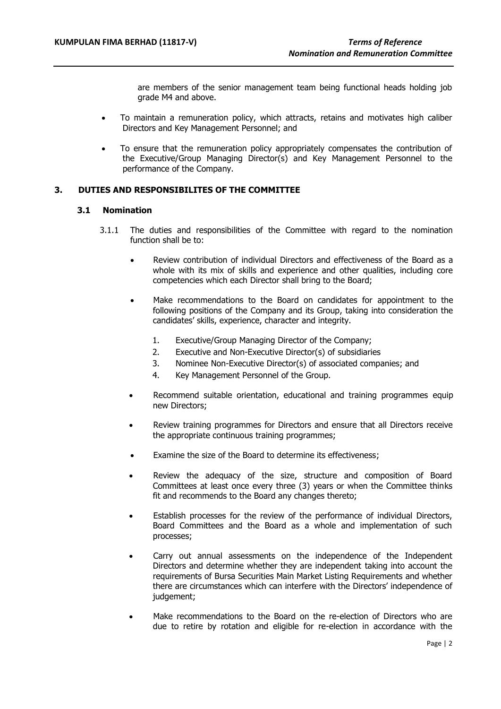are members of the senior management team being functional heads holding job grade M4 and above.

- To maintain a remuneration policy, which attracts, retains and motivates high caliber Directors and Key Management Personnel; and
- To ensure that the remuneration policy appropriately compensates the contribution of the Executive/Group Managing Director(s) and Key Management Personnel to the performance of the Company.

# **3. DUTIES AND RESPONSIBILITES OF THE COMMITTEE**

#### **3.1 Nomination**

- 3.1.1 The duties and responsibilities of the Committee with regard to the nomination function shall be to:
	- Review contribution of individual Directors and effectiveness of the Board as a whole with its mix of skills and experience and other qualities, including core competencies which each Director shall bring to the Board;
	- Make recommendations to the Board on candidates for appointment to the following positions of the Company and its Group, taking into consideration the candidates' skills, experience, character and integrity.
		- 1. Executive/Group Managing Director of the Company;
		- 2. Executive and Non-Executive Director(s) of subsidiaries
		- 3. Nominee Non-Executive Director(s) of associated companies; and
		- 4. Key Management Personnel of the Group.
	- Recommend suitable orientation, educational and training programmes equip new Directors;
	- Review training programmes for Directors and ensure that all Directors receive the appropriate continuous training programmes;
	- Examine the size of the Board to determine its effectiveness;
	- Review the adequacy of the size, structure and composition of Board Committees at least once every three (3) years or when the Committee thinks fit and recommends to the Board any changes thereto;
	- Establish processes for the review of the performance of individual Directors, Board Committees and the Board as a whole and implementation of such processes;
	- Carry out annual assessments on the independence of the Independent Directors and determine whether they are independent taking into account the requirements of Bursa Securities Main Market Listing Requirements and whether there are circumstances which can interfere with the Directors' independence of judgement;
	- Make recommendations to the Board on the re-election of Directors who are due to retire by rotation and eligible for re-election in accordance with the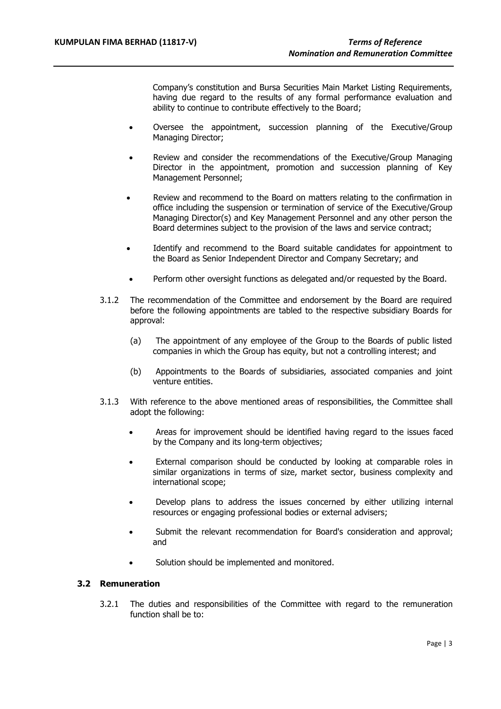Company's constitution and Bursa Securities Main Market Listing Requirements, having due regard to the results of any formal performance evaluation and ability to continue to contribute effectively to the Board;

- Oversee the appointment, succession planning of the Executive/Group Managing Director;
- Review and consider the recommendations of the Executive/Group Managing Director in the appointment, promotion and succession planning of Key Management Personnel;
- Review and recommend to the Board on matters relating to the confirmation in office including the suspension or termination of service of the Executive/Group Managing Director(s) and Key Management Personnel and any other person the Board determines subject to the provision of the laws and service contract;
- Identify and recommend to the Board suitable candidates for appointment to the Board as Senior Independent Director and Company Secretary; and
- Perform other oversight functions as delegated and/or requested by the Board.
- 3.1.2 The recommendation of the Committee and endorsement by the Board are required before the following appointments are tabled to the respective subsidiary Boards for approval:
	- (a) The appointment of any employee of the Group to the Boards of public listed companies in which the Group has equity, but not a controlling interest; and
	- (b) Appointments to the Boards of subsidiaries, associated companies and joint venture entities.
- 3.1.3 With reference to the above mentioned areas of responsibilities, the Committee shall adopt the following:
	- Areas for improvement should be identified having regard to the issues faced by the Company and its long-term objectives;
	- External comparison should be conducted by looking at comparable roles in similar organizations in terms of size, market sector, business complexity and international scope;
	- Develop plans to address the issues concerned by either utilizing internal resources or engaging professional bodies or external advisers;
	- Submit the relevant recommendation for Board's consideration and approval; and
	- Solution should be implemented and monitored.

## **3.2 Remuneration**

3.2.1 The duties and responsibilities of the Committee with regard to the remuneration function shall be to: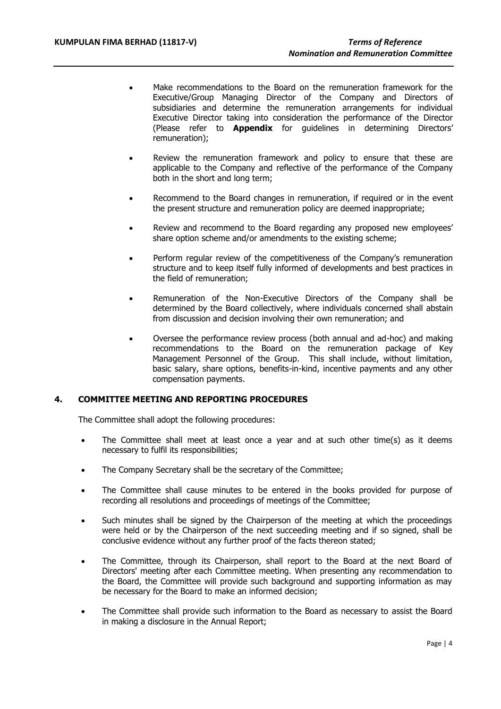- Make recommendations to the Board on the remuneration framework for the Executive/Group Managing Director of the Company and Directors of subsidiaries and determine the remuneration arrangements for individual Executive Director taking into consideration the performance of the Director (Please refer to **Appendix** for guidelines in determining Directors' remuneration);
- Review the remuneration framework and policy to ensure that these are applicable to the Company and reflective of the performance of the Company both in the short and long term;
- Recommend to the Board changes in remuneration, if required or in the event the present structure and remuneration policy are deemed inappropriate;
- Review and recommend to the Board regarding any proposed new employees' share option scheme and/or amendments to the existing scheme;
- Perform regular review of the competitiveness of the Company's remuneration structure and to keep itself fully informed of developments and best practices in the field of remuneration;
- Remuneration of the Non-Executive Directors of the Company shall be determined by the Board collectively, where individuals concerned shall abstain from discussion and decision involving their own remuneration; and
- Oversee the performance review process (both annual and ad-hoc) and making recommendations to the Board on the remuneration package of Key Management Personnel of the Group. This shall include, without limitation, basic salary, share options, benefits-in-kind, incentive payments and any other compensation payments.

## **4. COMMITTEE MEETING AND REPORTING PROCEDURES**

The Committee shall adopt the following procedures:

- The Committee shall meet at least once a year and at such other time(s) as it deems necessary to fulfil its responsibilities;
- The Company Secretary shall be the secretary of the Committee;
- The Committee shall cause minutes to be entered in the books provided for purpose of recording all resolutions and proceedings of meetings of the Committee;
- Such minutes shall be signed by the Chairperson of the meeting at which the proceedings were held or by the Chairperson of the next succeeding meeting and if so signed, shall be conclusive evidence without any further proof of the facts thereon stated;
- The Committee, through its Chairperson, shall report to the Board at the next Board of Directors' meeting after each Committee meeting. When presenting any recommendation to the Board, the Committee will provide such background and supporting information as may be necessary for the Board to make an informed decision;
- The Committee shall provide such information to the Board as necessary to assist the Board in making a disclosure in the Annual Report;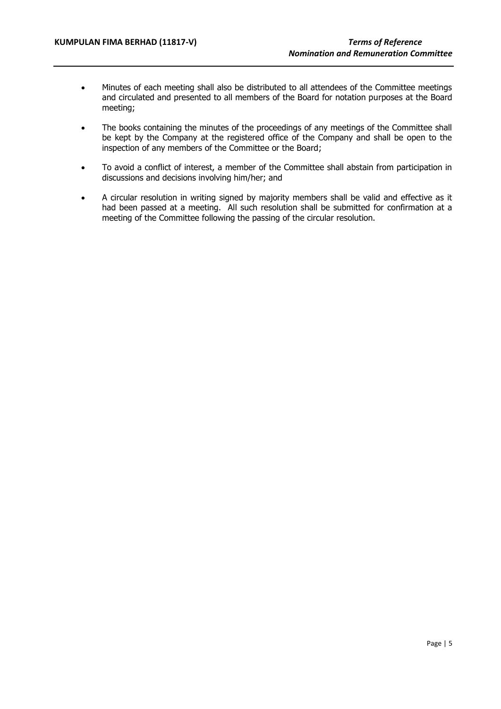- Minutes of each meeting shall also be distributed to all attendees of the Committee meetings and circulated and presented to all members of the Board for notation purposes at the Board meeting;
- The books containing the minutes of the proceedings of any meetings of the Committee shall be kept by the Company at the registered office of the Company and shall be open to the inspection of any members of the Committee or the Board;
- To avoid a conflict of interest, a member of the Committee shall abstain from participation in discussions and decisions involving him/her; and
- A circular resolution in writing signed by majority members shall be valid and effective as it had been passed at a meeting. All such resolution shall be submitted for confirmation at a meeting of the Committee following the passing of the circular resolution.